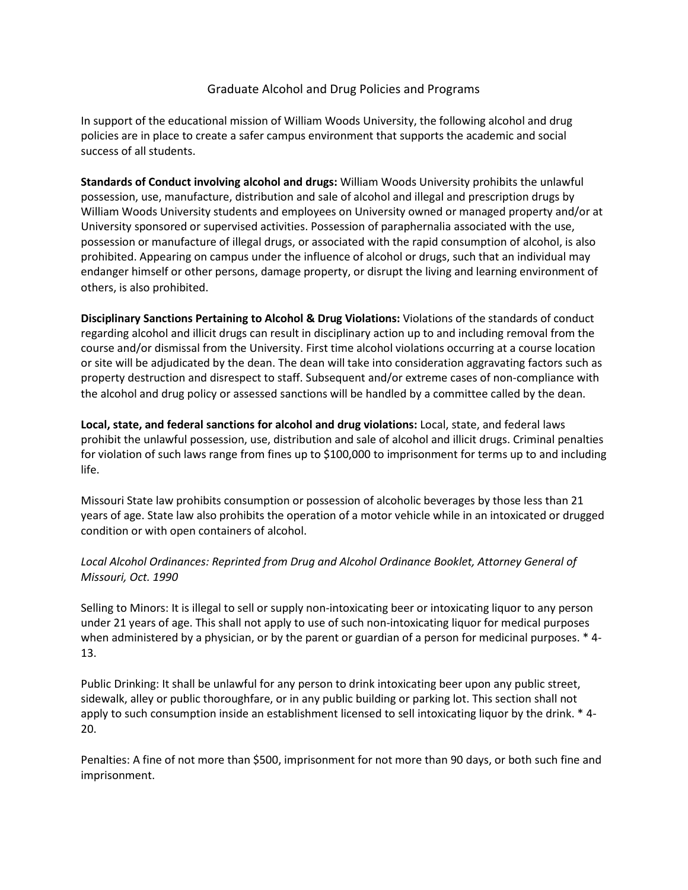## Graduate Alcohol and Drug Policies and Programs

In support of the educational mission of William Woods University, the following alcohol and drug policies are in place to create a safer campus environment that supports the academic and social success of all students.

**Standards of Conduct involving alcohol and drugs:** William Woods University prohibits the unlawful possession, use, manufacture, distribution and sale of alcohol and illegal and prescription drugs by William Woods University students and employees on University owned or managed property and/or at University sponsored or supervised activities. Possession of paraphernalia associated with the use, possession or manufacture of illegal drugs, or associated with the rapid consumption of alcohol, is also prohibited. Appearing on campus under the influence of alcohol or drugs, such that an individual may endanger himself or other persons, damage property, or disrupt the living and learning environment of others, is also prohibited.

**Disciplinary Sanctions Pertaining to Alcohol & Drug Violations:** Violations of the standards of conduct regarding alcohol and illicit drugs can result in disciplinary action up to and including removal from the course and/or dismissal from the University. First time alcohol violations occurring at a course location or site will be adjudicated by the dean. The dean will take into consideration aggravating factors such as property destruction and disrespect to staff. Subsequent and/or extreme cases of non-compliance with the alcohol and drug policy or assessed sanctions will be handled by a committee called by the dean.

**Local, state, and federal sanctions for alcohol and drug violations:** Local, state, and federal laws prohibit the unlawful possession, use, distribution and sale of alcohol and illicit drugs. Criminal penalties for violation of such laws range from fines up to \$100,000 to imprisonment for terms up to and including life.

Missouri State law prohibits consumption or possession of alcoholic beverages by those less than 21 years of age. State law also prohibits the operation of a motor vehicle while in an intoxicated or drugged condition or with open containers of alcohol.

## *Local Alcohol Ordinances: Reprinted from Drug and Alcohol Ordinance Booklet, Attorney General of Missouri, Oct. 1990*

Selling to Minors: It is illegal to sell or supply non-intoxicating beer or intoxicating liquor to any person under 21 years of age. This shall not apply to use of such non-intoxicating liquor for medical purposes when administered by a physician, or by the parent or guardian of a person for medicinal purposes. \* 4- 13.

Public Drinking: It shall be unlawful for any person to drink intoxicating beer upon any public street, sidewalk, alley or public thoroughfare, or in any public building or parking lot. This section shall not apply to such consumption inside an establishment licensed to sell intoxicating liquor by the drink. \* 4-20.

Penalties: A fine of not more than \$500, imprisonment for not more than 90 days, or both such fine and imprisonment.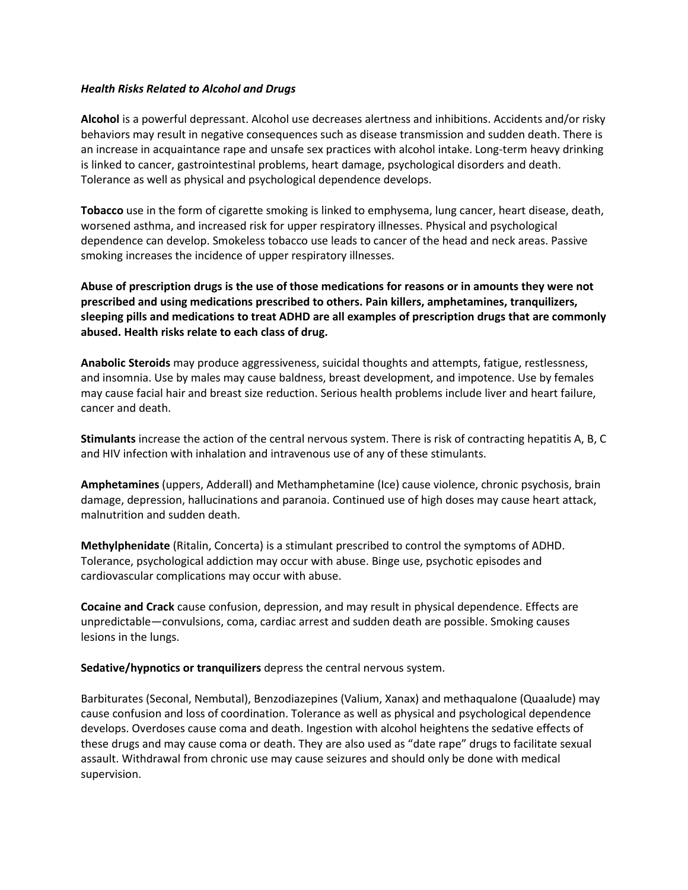## *Health Risks Related to Alcohol and Drugs*

**Alcohol** is a powerful depressant. Alcohol use decreases alertness and inhibitions. Accidents and/or risky behaviors may result in negative consequences such as disease transmission and sudden death. There is an increase in acquaintance rape and unsafe sex practices with alcohol intake. Long-term heavy drinking is linked to cancer, gastrointestinal problems, heart damage, psychological disorders and death. Tolerance as well as physical and psychological dependence develops.

**Tobacco** use in the form of cigarette smoking is linked to emphysema, lung cancer, heart disease, death, worsened asthma, and increased risk for upper respiratory illnesses. Physical and psychological dependence can develop. Smokeless tobacco use leads to cancer of the head and neck areas. Passive smoking increases the incidence of upper respiratory illnesses.

**Abuse of prescription drugs is the use of those medications for reasons or in amounts they were not prescribed and using medications prescribed to others. Pain killers, amphetamines, tranquilizers, sleeping pills and medications to treat ADHD are all examples of prescription drugs that are commonly abused. Health risks relate to each class of drug.** 

**Anabolic Steroids** may produce aggressiveness, suicidal thoughts and attempts, fatigue, restlessness, and insomnia. Use by males may cause baldness, breast development, and impotence. Use by females may cause facial hair and breast size reduction. Serious health problems include liver and heart failure, cancer and death.

**Stimulants** increase the action of the central nervous system. There is risk of contracting hepatitis A, B, C and HIV infection with inhalation and intravenous use of any of these stimulants.

**Amphetamines** (uppers, Adderall) and Methamphetamine (Ice) cause violence, chronic psychosis, brain damage, depression, hallucinations and paranoia. Continued use of high doses may cause heart attack, malnutrition and sudden death.

**Methylphenidate** (Ritalin, Concerta) is a stimulant prescribed to control the symptoms of ADHD. Tolerance, psychological addiction may occur with abuse. Binge use, psychotic episodes and cardiovascular complications may occur with abuse.

**Cocaine and Crack** cause confusion, depression, and may result in physical dependence. Effects are unpredictable—convulsions, coma, cardiac arrest and sudden death are possible. Smoking causes lesions in the lungs.

**Sedative/hypnotics or tranquilizers** depress the central nervous system.

Barbiturates (Seconal, Nembutal), Benzodiazepines (Valium, Xanax) and methaqualone (Quaalude) may cause confusion and loss of coordination. Tolerance as well as physical and psychological dependence develops. Overdoses cause coma and death. Ingestion with alcohol heightens the sedative effects of these drugs and may cause coma or death. They are also used as "date rape" drugs to facilitate sexual assault. Withdrawal from chronic use may cause seizures and should only be done with medical supervision.